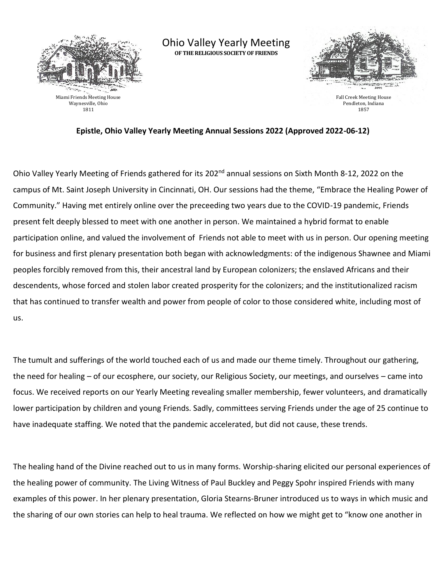

Ohio Valley Yearly Meeting **OF THE RELIGIOUS SOCIETY OF FRIENDS**



Fall Creek Meeting House Pendleton, Indiana 1857

## **Epistle, Ohio Valley Yearly Meeting Annual Sessions 2022 (Approved 2022-06-12)**

Ohio Valley Yearly Meeting of Friends gathered for its 202<sup>nd</sup> annual sessions on Sixth Month 8-12, 2022 on the campus of Mt. Saint Joseph University in Cincinnati, OH. Our sessions had the theme, "Embrace the Healing Power of Community." Having met entirely online over the preceeding two years due to the COVID-19 pandemic, Friends present felt deeply blessed to meet with one another in person. We maintained a hybrid format to enable participation online, and valued the involvement of Friends not able to meet with us in person. Our opening meeting for business and first plenary presentation both began with acknowledgments: of the indigenous Shawnee and Miami peoples forcibly removed from this, their ancestral land by European colonizers; the enslaved Africans and their descendents, whose forced and stolen labor created prosperity for the colonizers; and the institutionalized racism that has continued to transfer wealth and power from people of color to those considered white, including most of us.

The tumult and sufferings of the world touched each of us and made our theme timely. Throughout our gathering, the need for healing – of our ecosphere, our society, our Religious Society, our meetings, and ourselves – came into focus. We received reports on our Yearly Meeting revealing smaller membership, fewer volunteers, and dramatically lower participation by children and young Friends. Sadly, committees serving Friends under the age of 25 continue to have inadequate staffing. We noted that the pandemic accelerated, but did not cause, these trends.

The healing hand of the Divine reached out to us in many forms. Worship-sharing elicited our personal experiences of the healing power of community. The Living Witness of Paul Buckley and Peggy Spohr inspired Friends with many examples of this power. In her plenary presentation, Gloria Stearns-Bruner introduced us to ways in which music and the sharing of our own stories can help to heal trauma. We reflected on how we might get to "know one another in